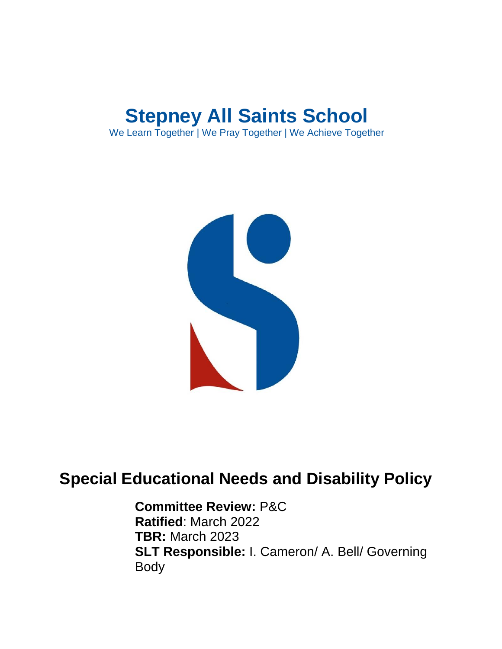# **Stepney All Saints School**

We Learn Together | We Pray Together | We Achieve Together



## **Special Educational Needs and Disability Policy**

**Committee Review:** P&C **Ratified**: March 2022 **TBR:** March 2023 **SLT Responsible:** I. Cameron/ A. Bell/ Governing Body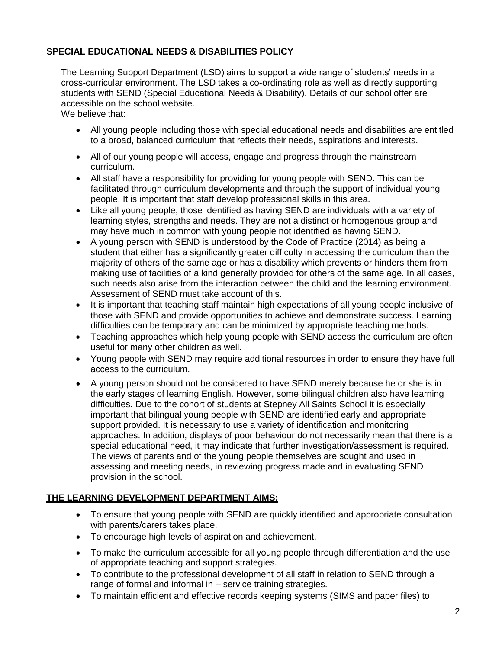#### **SPECIAL EDUCATIONAL NEEDS & DISABILITIES POLICY**

The Learning Support Department (LSD) aims to support a wide range of students' needs in a cross-curricular environment. The LSD takes a co-ordinating role as well as directly supporting students with SEND (Special Educational Needs & Disability). Details of our school offer are accessible on the school website.

We believe that:

- All young people including those with special educational needs and disabilities are entitled to a broad, balanced curriculum that reflects their needs, aspirations and interests.
- All of our young people will access, engage and progress through the mainstream curriculum.
- All staff have a responsibility for providing for young people with SEND. This can be facilitated through curriculum developments and through the support of individual young people. It is important that staff develop professional skills in this area.
- Like all young people, those identified as having SEND are individuals with a variety of learning styles, strengths and needs. They are not a distinct or homogenous group and may have much in common with young people not identified as having SEND.
- A young person with SEND is understood by the Code of Practice (2014) as being a student that either has a significantly greater difficulty in accessing the curriculum than the majority of others of the same age or has a disability which prevents or hinders them from making use of facilities of a kind generally provided for others of the same age. In all cases, such needs also arise from the interaction between the child and the learning environment. Assessment of SEND must take account of this.
- It is important that teaching staff maintain high expectations of all young people inclusive of those with SEND and provide opportunities to achieve and demonstrate success. Learning difficulties can be temporary and can be minimized by appropriate teaching methods.
- Teaching approaches which help young people with SEND access the curriculum are often useful for many other children as well.
- Young people with SEND may require additional resources in order to ensure they have full access to the curriculum.
- A young person should not be considered to have SEND merely because he or she is in the early stages of learning English. However, some bilingual children also have learning difficulties. Due to the cohort of students at Stepney All Saints School it is especially important that bilingual young people with SEND are identified early and appropriate support provided. It is necessary to use a variety of identification and monitoring approaches. In addition, displays of poor behaviour do not necessarily mean that there is a special educational need, it may indicate that further investigation/assessment is required. The views of parents and of the young people themselves are sought and used in assessing and meeting needs, in reviewing progress made and in evaluating SEND provision in the school.

#### **THE LEARNING DEVELOPMENT DEPARTMENT AIMS:**

- To ensure that young people with SEND are quickly identified and appropriate consultation with parents/carers takes place.
- To encourage high levels of aspiration and achievement.
- To make the curriculum accessible for all young people through differentiation and the use of appropriate teaching and support strategies.
- To contribute to the professional development of all staff in relation to SEND through a range of formal and informal in – service training strategies.
- To maintain efficient and effective records keeping systems (SIMS and paper files) to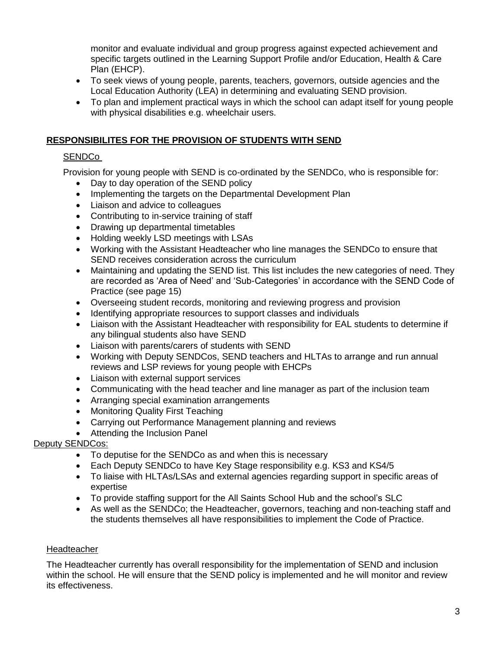monitor and evaluate individual and group progress against expected achievement and specific targets outlined in the Learning Support Profile and/or Education, Health & Care Plan (EHCP).

- To seek views of young people, parents, teachers, governors, outside agencies and the Local Education Authority (LEA) in determining and evaluating SEND provision.
- To plan and implement practical ways in which the school can adapt itself for young people with physical disabilities e.g. wheelchair users.

#### **RESPONSIBILITES FOR THE PROVISION OF STUDENTS WITH SEND**

#### SENDCo

Provision for young people with SEND is co-ordinated by the SENDCo, who is responsible for:

- Day to day operation of the SEND policy
- Implementing the targets on the Departmental Development Plan
- Liaison and advice to colleagues
- Contributing to in-service training of staff
- Drawing up departmental timetables
- Holding weekly LSD meetings with LSAs
- Working with the Assistant Headteacher who line manages the SENDCo to ensure that SEND receives consideration across the curriculum
- Maintaining and updating the SEND list. This list includes the new categories of need. They are recorded as 'Area of Need' and 'Sub-Categories' in accordance with the SEND Code of Practice (see page 15)
- Overseeing student records, monitoring and reviewing progress and provision
- Identifying appropriate resources to support classes and individuals
- Liaison with the Assistant Headteacher with responsibility for EAL students to determine if any bilingual students also have SEND
- Liaison with parents/carers of students with SEND
- Working with Deputy SENDCos, SEND teachers and HLTAs to arrange and run annual reviews and LSP reviews for young people with EHCPs
- Liaison with external support services
- Communicating with the head teacher and line manager as part of the inclusion team
- Arranging special examination arrangements
- Monitoring Quality First Teaching
- Carrying out Performance Management planning and reviews
- Attending the Inclusion Panel

#### Deputy SENDCos:

- To deputise for the SENDCo as and when this is necessary
- Each Deputy SENDCo to have Key Stage responsibility e.g. KS3 and KS4/5
- To liaise with HLTAs/LSAs and external agencies regarding support in specific areas of expertise
- To provide staffing support for the All Saints School Hub and the school's SLC
- As well as the SENDCo; the Headteacher, governors, teaching and non-teaching staff and the students themselves all have responsibilities to implement the Code of Practice.

#### Headteacher

The Headteacher currently has overall responsibility for the implementation of SEND and inclusion within the school. He will ensure that the SEND policy is implemented and he will monitor and review its effectiveness.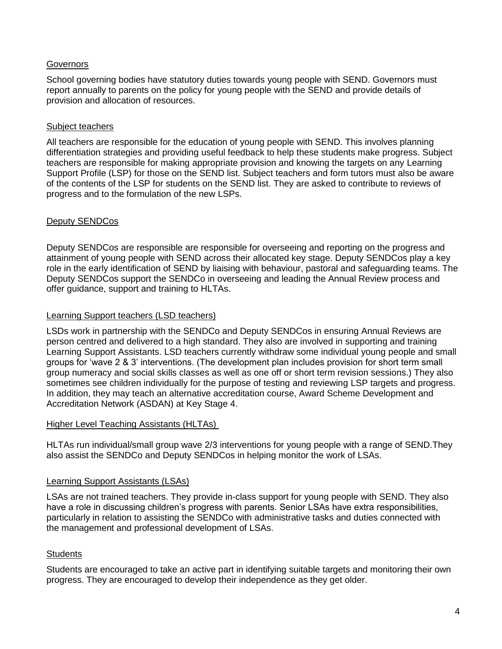#### **Governors**

School governing bodies have statutory duties towards young people with SEND. Governors must report annually to parents on the policy for young people with the SEND and provide details of provision and allocation of resources.

#### Subject teachers

All teachers are responsible for the education of young people with SEND. This involves planning differentiation strategies and providing useful feedback to help these students make progress. Subject teachers are responsible for making appropriate provision and knowing the targets on any Learning Support Profile (LSP) for those on the SEND list. Subject teachers and form tutors must also be aware of the contents of the LSP for students on the SEND list. They are asked to contribute to reviews of progress and to the formulation of the new LSPs.

#### Deputy SENDCos

Deputy SENDCos are responsible are responsible for overseeing and reporting on the progress and attainment of young people with SEND across their allocated key stage. Deputy SENDCos play a key role in the early identification of SEND by liaising with behaviour, pastoral and safeguarding teams. The Deputy SENDCos support the SENDCo in overseeing and leading the Annual Review process and offer guidance, support and training to HLTAs.

#### Learning Support teachers (LSD teachers)

LSDs work in partnership with the SENDCo and Deputy SENDCos in ensuring Annual Reviews are person centred and delivered to a high standard. They also are involved in supporting and training Learning Support Assistants. LSD teachers currently withdraw some individual young people and small groups for 'wave 2 & 3' interventions. (The development plan includes provision for short term small group numeracy and social skills classes as well as one off or short term revision sessions.) They also sometimes see children individually for the purpose of testing and reviewing LSP targets and progress. In addition, they may teach an alternative accreditation course, Award Scheme Development and Accreditation Network (ASDAN) at Key Stage 4.

#### Higher Level Teaching Assistants (HLTAs)

HLTAs run individual/small group wave 2/3 interventions for young people with a range of SEND.They also assist the SENDCo and Deputy SENDCos in helping monitor the work of LSAs.

#### Learning Support Assistants (LSAs)

LSAs are not trained teachers. They provide in-class support for young people with SEND. They also have a role in discussing children's progress with parents. Senior LSAs have extra responsibilities, particularly in relation to assisting the SENDCo with administrative tasks and duties connected with the management and professional development of LSAs.

#### **Students**

Students are encouraged to take an active part in identifying suitable targets and monitoring their own progress. They are encouraged to develop their independence as they get older.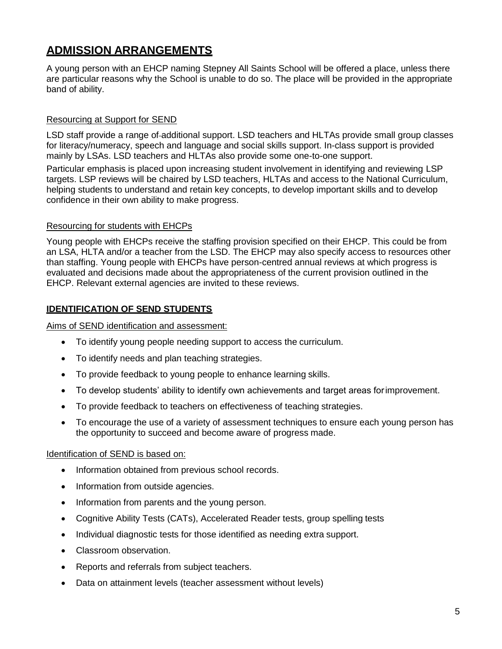### **ADMISSION ARRANGEMENTS**

A young person with an EHCP naming Stepney All Saints School will be offered a place, unless there are particular reasons why the School is unable to do so. The place will be provided in the appropriate band of ability.

#### Resourcing at Support for SEND

LSD staff provide a range of additional support. LSD teachers and HLTAs provide small group classes for literacy/numeracy, speech and language and social skills support. In-class support is provided mainly by LSAs. LSD teachers and HLTAs also provide some one-to-one support.

Particular emphasis is placed upon increasing student involvement in identifying and reviewing LSP targets. LSP reviews will be chaired by LSD teachers, HLTAs and access to the National Curriculum, helping students to understand and retain key concepts, to develop important skills and to develop confidence in their own ability to make progress.

#### Resourcing for students with EHCPs

Young people with EHCPs receive the staffing provision specified on their EHCP. This could be from an LSA, HLTA and/or a teacher from the LSD. The EHCP may also specify access to resources other than staffing. Young people with EHCPs have person-centred annual reviews at which progress is evaluated and decisions made about the appropriateness of the current provision outlined in the EHCP. Relevant external agencies are invited to these reviews.

#### **IDENTIFICATION OF SEND STUDENTS**

Aims of SEND identification and assessment:

- To identify young people needing support to access the curriculum.
- To identify needs and plan teaching strategies.
- To provide feedback to young people to enhance learning skills.
- To develop students' ability to identify own achievements and target areas forimprovement.
- To provide feedback to teachers on effectiveness of teaching strategies.
- To encourage the use of a variety of assessment techniques to ensure each young person has the opportunity to succeed and become aware of progress made.

#### Identification of SEND is based on:

- Information obtained from previous school records.
- Information from outside agencies.
- Information from parents and the young person.
- Cognitive Ability Tests (CATs), Accelerated Reader tests, group spelling tests
- Individual diagnostic tests for those identified as needing extra support.
- Classroom observation.
- Reports and referrals from subject teachers.
- Data on attainment levels (teacher assessment without levels)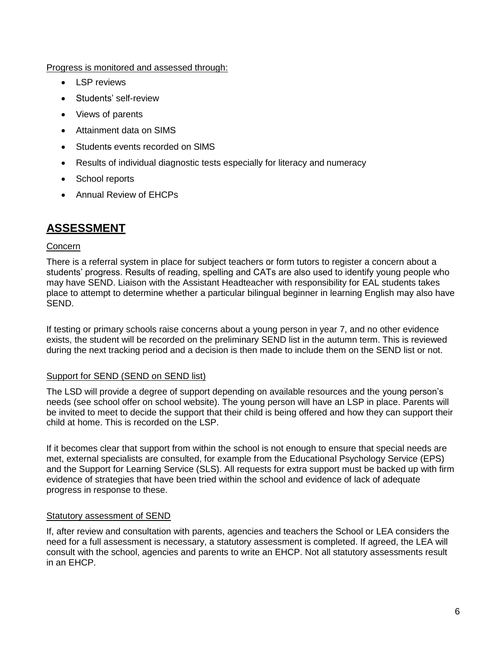Progress is monitored and assessed through:

- LSP reviews
- Students' self-review
- Views of parents
- Attainment data on SIMS
- Students events recorded on SIMS
- Results of individual diagnostic tests especially for literacy and numeracy
- School reports
- Annual Review of EHCPs

### **ASSESSMENT**

#### Concern

There is a referral system in place for subject teachers or form tutors to register a concern about a students' progress. Results of reading, spelling and CATs are also used to identify young people who may have SEND. Liaison with the Assistant Headteacher with responsibility for EAL students takes place to attempt to determine whether a particular bilingual beginner in learning English may also have SEND.

If testing or primary schools raise concerns about a young person in year 7, and no other evidence exists, the student will be recorded on the preliminary SEND list in the autumn term. This is reviewed during the next tracking period and a decision is then made to include them on the SEND list or not.

#### Support for SEND (SEND on SEND list)

The LSD will provide a degree of support depending on available resources and the young person's needs (see school offer on school website). The young person will have an LSP in place. Parents will be invited to meet to decide the support that their child is being offered and how they can support their child at home. This is recorded on the LSP.

If it becomes clear that support from within the school is not enough to ensure that special needs are met, external specialists are consulted, for example from the Educational Psychology Service (EPS) and the Support for Learning Service (SLS). All requests for extra support must be backed up with firm evidence of strategies that have been tried within the school and evidence of lack of adequate progress in response to these.

#### Statutory assessment of SEND

If, after review and consultation with parents, agencies and teachers the School or LEA considers the need for a full assessment is necessary, a statutory assessment is completed. If agreed, the LEA will consult with the school, agencies and parents to write an EHCP. Not all statutory assessments result in an EHCP.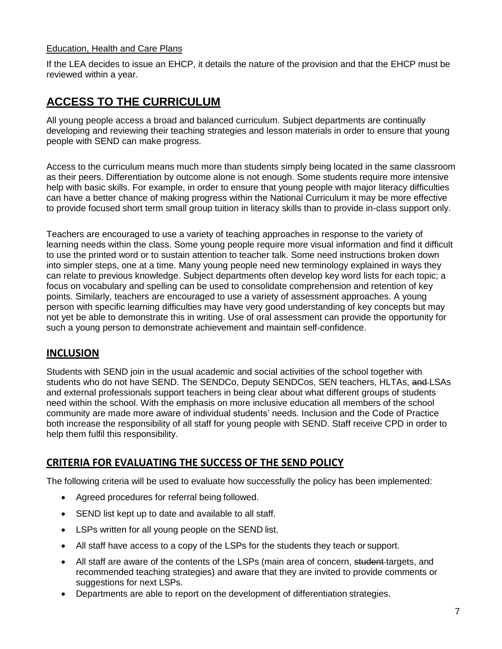#### Education, Health and Care Plans

If the LEA decides to issue an EHCP, it details the nature of the provision and that the EHCP must be reviewed within a year.

### **ACCESS TO THE CURRICULUM**

All young people access a broad and balanced curriculum. Subject departments are continually developing and reviewing their teaching strategies and lesson materials in order to ensure that young people with SEND can make progress.

Access to the curriculum means much more than students simply being located in the same classroom as their peers. Differentiation by outcome alone is not enough. Some students require more intensive help with basic skills. For example, in order to ensure that young people with major literacy difficulties can have a better chance of making progress within the National Curriculum it may be more effective to provide focused short term small group tuition in literacy skills than to provide in-class support only.

Teachers are encouraged to use a variety of teaching approaches in response to the variety of learning needs within the class. Some young people require more visual information and find it difficult to use the printed word or to sustain attention to teacher talk. Some need instructions broken down into simpler steps, one at a time. Many young people need new terminology explained in ways they can relate to previous knowledge. Subject departments often develop key word lists for each topic; a focus on vocabulary and spelling can be used to consolidate comprehension and retention of key points. Similarly, teachers are encouraged to use a variety of assessment approaches. A young person with specific learning difficulties may have very good understanding of key concepts but may not yet be able to demonstrate this in writing. Use of oral assessment can provide the opportunity for such a young person to demonstrate achievement and maintain self-confidence.

#### **INCLUSION**

Students with SEND join in the usual academic and social activities of the school together with students who do not have SEND. The SENDCo, Deputy SENDCos, SEN teachers, HLTAs, and LSAs and external professionals support teachers in being clear about what different groups of students need within the school. With the emphasis on more inclusive education all members of the school community are made more aware of individual students' needs. Inclusion and the Code of Practice both increase the responsibility of all staff for young people with SEND. Staff receive CPD in order to help them fulfil this responsibility.

#### **CRITERIA FOR EVALUATING THE SUCCESS OF THE SEND POLICY**

The following criteria will be used to evaluate how successfully the policy has been implemented:

- Agreed procedures for referral being followed.
- SEND list kept up to date and available to all staff.
- LSPs written for all young people on the SEND list.
- All staff have access to a copy of the LSPs for the students they teach or support.
- All staff are aware of the contents of the LSPs (main area of concern, student-targets, and recommended teaching strategies) and aware that they are invited to provide comments or suggestions for next LSPs.
- Departments are able to report on the development of differentiation strategies.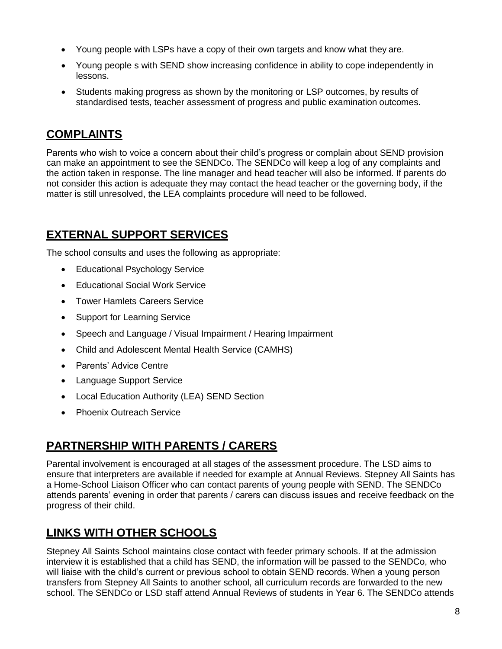- Young people with LSPs have a copy of their own targets and know what they are.
- Young people s with SEND show increasing confidence in ability to cope independently in lessons.
- Students making progress as shown by the monitoring or LSP outcomes, by results of standardised tests, teacher assessment of progress and public examination outcomes.

### **COMPLAINTS**

Parents who wish to voice a concern about their child's progress or complain about SEND provision can make an appointment to see the SENDCo. The SENDCo will keep a log of any complaints and the action taken in response. The line manager and head teacher will also be informed. If parents do not consider this action is adequate they may contact the head teacher or the governing body, if the matter is still unresolved, the LEA complaints procedure will need to be followed.

### **EXTERNAL SUPPORT SERVICES**

The school consults and uses the following as appropriate:

- Educational Psychology Service
- Educational Social Work Service
- Tower Hamlets Careers Service
- Support for Learning Service
- Speech and Language / Visual Impairment / Hearing Impairment
- Child and Adolescent Mental Health Service (CAMHS)
- Parents' Advice Centre
- Language Support Service
- Local Education Authority (LEA) SEND Section
- Phoenix Outreach Service

### **PARTNERSHIP WITH PARENTS / CARERS**

Parental involvement is encouraged at all stages of the assessment procedure. The LSD aims to ensure that interpreters are available if needed for example at Annual Reviews. Stepney All Saints has a Home-School Liaison Officer who can contact parents of young people with SEND. The SENDCo attends parents' evening in order that parents / carers can discuss issues and receive feedback on the progress of their child.

### **LINKS WITH OTHER SCHOOLS**

Stepney All Saints School maintains close contact with feeder primary schools. If at the admission interview it is established that a child has SEND, the information will be passed to the SENDCo, who will liaise with the child's current or previous school to obtain SEND records. When a young person transfers from Stepney All Saints to another school, all curriculum records are forwarded to the new school. The SENDCo or LSD staff attend Annual Reviews of students in Year 6. The SENDCo attends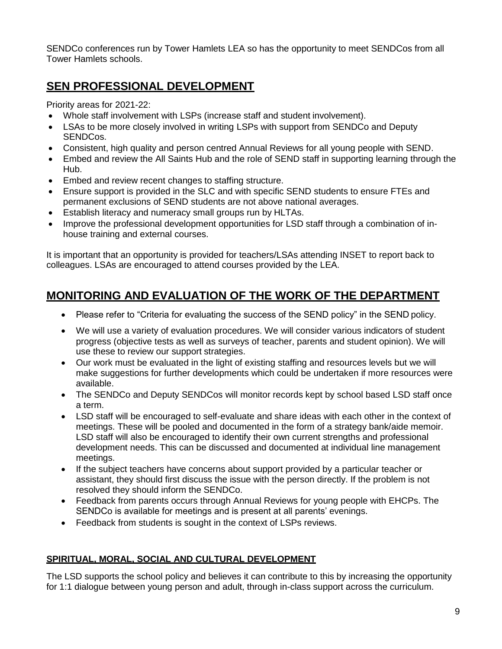SENDCo conferences run by Tower Hamlets LEA so has the opportunity to meet SENDCos from all Tower Hamlets schools.

### **SEN PROFESSIONAL DEVELOPMENT**

Priority areas for 2021-22:

- Whole staff involvement with LSPs (increase staff and student involvement).
- LSAs to be more closely involved in writing LSPs with support from SENDCo and Deputy SENDCos.
- Consistent, high quality and person centred Annual Reviews for all young people with SEND.
- Embed and review the All Saints Hub and the role of SEND staff in supporting learning through the Hub.
- **Embed and review recent changes to staffing structure.**
- Ensure support is provided in the SLC and with specific SEND students to ensure FTEs and permanent exclusions of SEND students are not above national averages.
- Establish literacy and numeracy small groups run by HLTAs.
- Improve the professional development opportunities for LSD staff through a combination of inhouse training and external courses.

It is important that an opportunity is provided for teachers/LSAs attending INSET to report back to colleagues. LSAs are encouraged to attend courses provided by the LEA.

### **MONITORING AND EVALUATION OF THE WORK OF THE DEPARTMENT**

- Please refer to "Criteria for evaluating the success of the SEND policy" in the SEND policy.
- We will use a variety of evaluation procedures. We will consider various indicators of student progress (objective tests as well as surveys of teacher, parents and student opinion). We will use these to review our support strategies.
- Our work must be evaluated in the light of existing staffing and resources levels but we will make suggestions for further developments which could be undertaken if more resources were available.
- The SENDCo and Deputy SENDCos will monitor records kept by school based LSD staff once a term.
- LSD staff will be encouraged to self-evaluate and share ideas with each other in the context of meetings. These will be pooled and documented in the form of a strategy bank/aide memoir. LSD staff will also be encouraged to identify their own current strengths and professional development needs. This can be discussed and documented at individual line management meetings.
- If the subject teachers have concerns about support provided by a particular teacher or assistant, they should first discuss the issue with the person directly. If the problem is not resolved they should inform the SENDCo.
- Feedback from parents occurs through Annual Reviews for young people with EHCPs. The SENDCo is available for meetings and is present at all parents' evenings.
- Feedback from students is sought in the context of LSPs reviews.

#### **SPIRITUAL, MORAL, SOCIAL AND CULTURAL DEVELOPMENT**

The LSD supports the school policy and believes it can contribute to this by increasing the opportunity for 1:1 dialogue between young person and adult, through in-class support across the curriculum.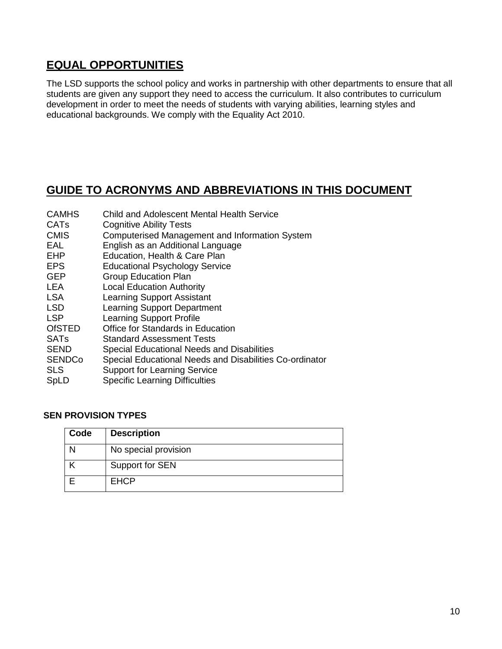### **EQUAL OPPORTUNITIES**

The LSD supports the school policy and works in partnership with other departments to ensure that all students are given any support they need to access the curriculum. It also contributes to curriculum development in order to meet the needs of students with varying abilities, learning styles and educational backgrounds. We comply with the Equality Act 2010.

### **GUIDE TO ACRONYMS AND ABBREVIATIONS IN THIS DOCUMENT**

| <b>CAMHS</b>           | <b>Child and Adolescent Mental Health Service</b>       |
|------------------------|---------------------------------------------------------|
| <b>CAT<sub>s</sub></b> | <b>Cognitive Ability Tests</b>                          |
| <b>CMIS</b>            | <b>Computerised Management and Information System</b>   |
| <b>EAL</b>             | English as an Additional Language                       |
| <b>EHP</b>             | Education, Health & Care Plan                           |
| <b>EPS</b>             | <b>Educational Psychology Service</b>                   |
| <b>GEP</b>             | <b>Group Education Plan</b>                             |
| <b>LEA</b>             | <b>Local Education Authority</b>                        |
| <b>LSA</b>             | <b>Learning Support Assistant</b>                       |
| <b>LSD</b>             | <b>Learning Support Department</b>                      |
| <b>LSP</b>             | <b>Learning Support Profile</b>                         |
| <b>OfSTED</b>          | Office for Standards in Education                       |
| <b>SATs</b>            | <b>Standard Assessment Tests</b>                        |
| <b>SEND</b>            | Special Educational Needs and Disabilities              |
| <b>SENDCo</b>          | Special Educational Needs and Disabilities Co-ordinator |
| <b>SLS</b>             | <b>Support for Learning Service</b>                     |
| SpLD                   | <b>Specific Learning Difficulties</b>                   |
|                        |                                                         |

#### **SEN PROVISION TYPES**

| Code | <b>Description</b>   |
|------|----------------------|
|      | No special provision |
|      | Support for SEN      |
|      | <b>EHCP</b>          |